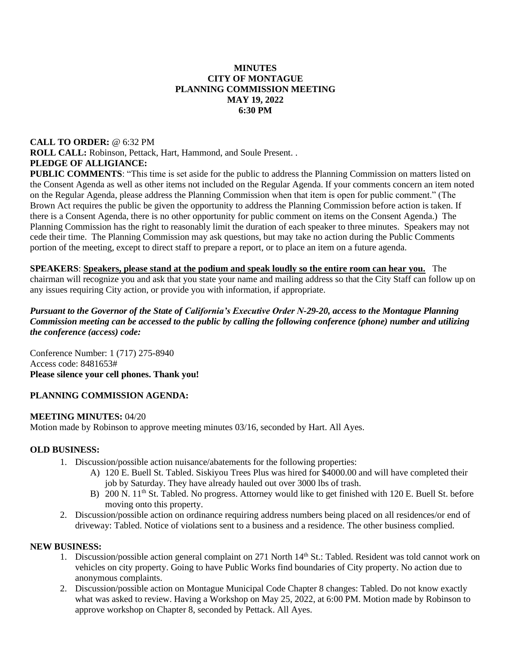### **MINUTES CITY OF MONTAGUE PLANNING COMMISSION MEETING MAY 19, 2022 6:30 PM**

# **CALL TO ORDER:** @ 6:32 PM **ROLL CALL:** Robinson, Pettack, Hart, Hammond, and Soule Present. . **PLEDGE OF ALLIGIANCE:**

**PUBLIC COMMENTS:** "This time is set aside for the public to address the Planning Commission on matters listed on the Consent Agenda as well as other items not included on the Regular Agenda. If your comments concern an item noted on the Regular Agenda, please address the Planning Commission when that item is open for public comment." (The Brown Act requires the public be given the opportunity to address the Planning Commission before action is taken. If there is a Consent Agenda, there is no other opportunity for public comment on items on the Consent Agenda.) The Planning Commission has the right to reasonably limit the duration of each speaker to three minutes. Speakers may not cede their time. The Planning Commission may ask questions, but may take no action during the Public Comments portion of the meeting, except to direct staff to prepare a report, or to place an item on a future agenda.

**SPEAKERS**: **Speakers, please stand at the podium and speak loudly so the entire room can hear you.** The chairman will recognize you and ask that you state your name and mailing address so that the City Staff can follow up on any issues requiring City action, or provide you with information, if appropriate.

#### *Pursuant to the Governor of the State of California's Executive Order N-29-20, access to the Montague Planning Commission meeting can be accessed to the public by calling the following conference (phone) number and utilizing the conference (access) code:*

Conference Number: 1 (717) 275-8940 Access code: 8481653# **Please silence your cell phones. Thank you!** 

## **PLANNING COMMISSION AGENDA:**

#### **MEETING MINUTES:** 04/20

Motion made by Robinson to approve meeting minutes 03/16, seconded by Hart. All Ayes.

#### **OLD BUSINESS:**

- 1. Discussion/possible action nuisance/abatements for the following properties:
	- A) 120 E. Buell St. Tabled. Siskiyou Trees Plus was hired for \$4000.00 and will have completed their job by Saturday. They have already hauled out over 3000 lbs of trash.
	- B) 200 N. 11<sup>th</sup> St. Tabled. No progress. Attorney would like to get finished with 120 E. Buell St. before moving onto this property.
- 2. Discussion/possible action on ordinance requiring address numbers being placed on all residences/or end of driveway: Tabled. Notice of violations sent to a business and a residence. The other business complied.

#### **NEW BUSINESS:**

- 1. Discussion/possible action general complaint on 271 North 14<sup>th</sup> St.: Tabled. Resident was told cannot work on vehicles on city property. Going to have Public Works find boundaries of City property. No action due to anonymous complaints.
- 2. Discussion/possible action on Montague Municipal Code Chapter 8 changes: Tabled. Do not know exactly what was asked to review. Having a Workshop on May 25, 2022, at 6:00 PM. Motion made by Robinson to approve workshop on Chapter 8, seconded by Pettack. All Ayes.